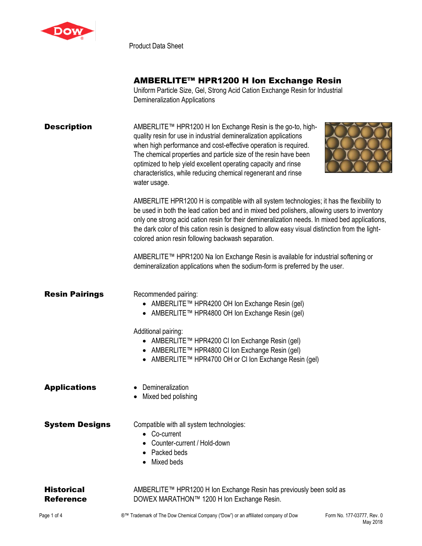

Product Data Sheet

## AMBERLITE™ HPR1200 H Ion Exchange Resin

Uniform Particle Size, Gel, Strong Acid Cation Exchange Resin for Industrial Demineralization Applications

| <b>Description</b>                    | AMBERLITE™ HPR1200 H Ion Exchange Resin is the go-to, high-<br>quality resin for use in industrial demineralization applications<br>when high performance and cost-effective operation is required.<br>The chemical properties and particle size of the resin have been<br>optimized to help yield excellent operating capacity and rinse<br>characteristics, while reducing chemical regenerant and rinse<br>water usage.                           |
|---------------------------------------|------------------------------------------------------------------------------------------------------------------------------------------------------------------------------------------------------------------------------------------------------------------------------------------------------------------------------------------------------------------------------------------------------------------------------------------------------|
|                                       | AMBERLITE HPR1200 H is compatible with all system technologies; it has the flexibility to<br>be used in both the lead cation bed and in mixed bed polishers, allowing users to inventory<br>only one strong acid cation resin for their demineralization needs. In mixed bed applications,<br>the dark color of this cation resin is designed to allow easy visual distinction from the light-<br>colored anion resin following backwash separation. |
|                                       | AMBERLITE™ HPR1200 Na Ion Exchange Resin is available for industrial softening or<br>demineralization applications when the sodium-form is preferred by the user.                                                                                                                                                                                                                                                                                    |
| <b>Resin Pairings</b>                 | Recommended pairing:<br>AMBERLITE™ HPR4200 OH Ion Exchange Resin (gel)<br>• AMBERLITE TM HPR4800 OH Ion Exchange Resin (gel)<br>Additional pairing:<br>● AMBERLITE™ HPR4200 CI Ion Exchange Resin (gel)<br>● AMBERLITE™ HPR4800 CI Ion Exchange Resin (gel)<br>● AMBERLITE™ HPR4700 OH or CI Ion Exchange Resin (gel)                                                                                                                                |
| <b>Applications</b>                   | Demineralization<br>Mixed bed polishing                                                                                                                                                                                                                                                                                                                                                                                                              |
| <b>System Designs</b>                 | Compatible with all system technologies:<br>• Co-current<br>Counter-current / Hold-down<br>Packed beds<br>Mixed beds                                                                                                                                                                                                                                                                                                                                 |
| <b>Historical</b><br><b>Reference</b> | AMBERLITE™ HPR1200 H Ion Exchange Resin has previously been sold as<br>DOWEX MARATHON™ 1200 H Ion Exchange Resin.                                                                                                                                                                                                                                                                                                                                    |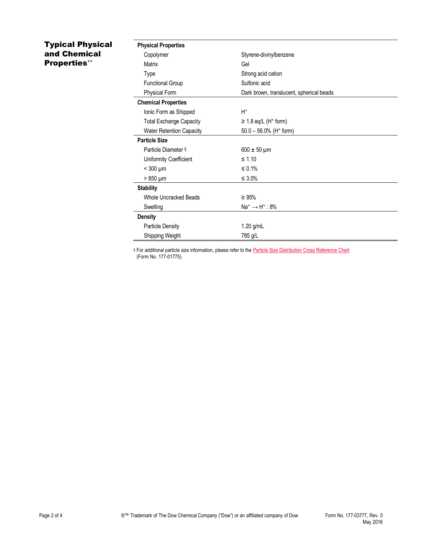## Typical Physical and Chemical Properties\*\*

| <b>Physical Properties</b>      |                                          |
|---------------------------------|------------------------------------------|
| Copolymer                       | Styrene-divinylbenzene                   |
| Matrix                          | Gel                                      |
| Type                            | Strong acid cation                       |
| <b>Functional Group</b>         | Sulfonic acid                            |
| Physical Form                   | Dark brown, translucent, spherical beads |
| <b>Chemical Properties</b>      |                                          |
| Ionic Form as Shipped           | $H^+$                                    |
| <b>Total Exchange Capacity</b>  | $\geq$ 1.8 eq/L (H <sup>+</sup> form)    |
| <b>Water Retention Capacity</b> | $50.0 - 56.0\%$ (H <sup>+</sup> form)    |
| <b>Particle Size</b>            |                                          |
| Particle Diameter §             | $600 \pm 50 \mu m$                       |
| Uniformity Coefficient          | $\leq 1.10$                              |
| $<$ 300 $\mu$ m                 | ≤ 0.1%                                   |
| > 850 µm                        | $\leq 3.0\%$                             |
| <b>Stability</b>                |                                          |
| Whole Uncracked Beads           | $\geq 95\%$                              |
| Swelling                        | $Na^+ \rightarrow H^+$ : 8%              |
| <b>Density</b>                  |                                          |
| <b>Particle Density</b>         | $1.20$ g/mL                              |
| Shipping Weight                 | 785 g/L                                  |

§ For additional particle size information, please refer to the **Particle Size Distribution Cross Reference Chart** (Form No. 177-01775).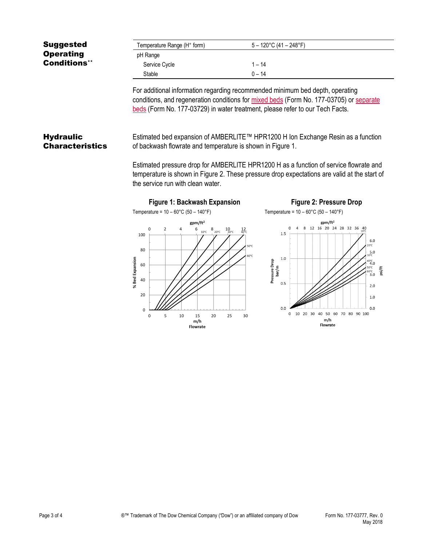| <b>Suggested</b>    | Temperature Range (H <sup>+</sup> form) | $5 - 120^{\circ}$ C (41 – 248°F) |  |
|---------------------|-----------------------------------------|----------------------------------|--|
| <b>Operating</b>    | pH Range                                |                                  |  |
| <b>Conditions**</b> | Service Cycle                           | $-14$                            |  |
|                     | Stable                                  | 0 – 14                           |  |

For additional information regarding recommended minimum bed depth, operating conditions, and regeneration conditions for [mixed beds](http://www.dow.com/webapps/include/GetDoc.aspx?filepath=liquidseps/pdfs/noreg/177-03705.pdf) (Form No. 177-03705) or [separate](http://www.dow.com/webapps/include/GetDoc.aspx?filepath=liquidseps/pdfs/noreg/177-03729.pdf)  [beds](http://www.dow.com/webapps/include/GetDoc.aspx?filepath=liquidseps/pdfs/noreg/177-03729.pdf) (Form No. 177-03729) in water treatment, please refer to our Tech Facts.

## **Hydraulic Characteristics**

Estimated bed expansion of AMBERLITE™ HPR1200 H Ion Exchange Resin as a function of backwash flowrate and temperature is shown in Figure 1.

Estimated pressure drop for AMBERLITE HPR1200 H as a function of service flowrate and temperature is shown in Figure 2. These pressure drop expectations are valid at the start of the service run with clean water.